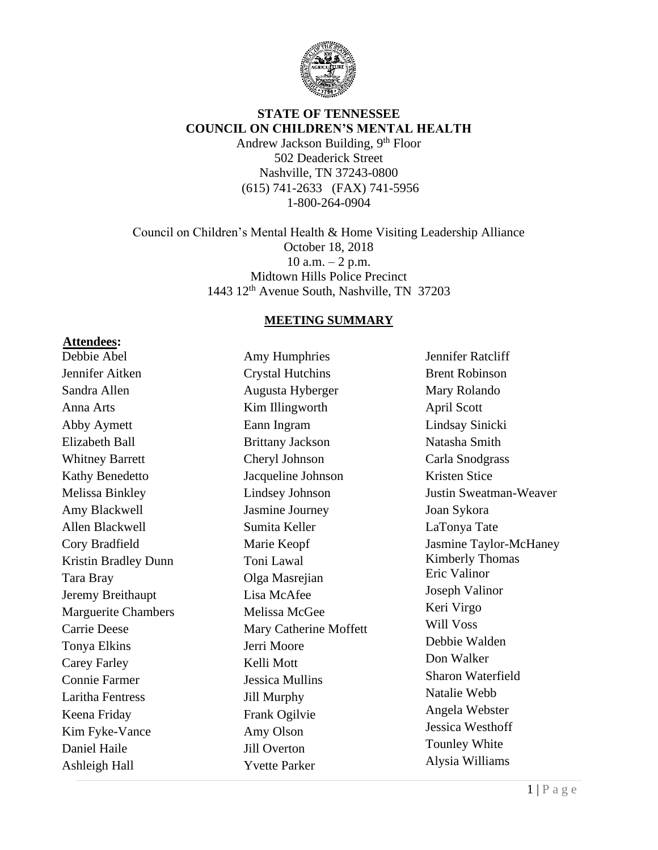

#### **STATE OF TENNESSEE COUNCIL ON CHILDREN'S MENTAL HEALTH**

Andrew Jackson Building, 9<sup>th</sup> Floor 502 Deaderick Street Nashville, TN 37243-0800 (615) 741-2633 (FAX) 741-5956 1-800-264-0904

Council on Children's Mental Health & Home Visiting Leadership Alliance October 18, 2018 10 a.m.  $-2$  p.m. Midtown Hills Police Precinct 1443 12<sup>th</sup> Avenue South, Nashville, TN 37203

#### **MEETING SUMMARY**

**Attendees:**

Debbie Abel Jennifer Aitken Sandra Allen Anna Arts Abby Aymett Elizabeth Ball Whitney Barrett Kathy Benedetto Melissa Binkley Amy Blackwell Allen Blackwell Cory Bradfield Kristin Bradley Dunn Tara Bray Jeremy Breithaupt Marguerite Chambers Carrie Deese Tonya Elkins Carey Farley Connie Farmer Laritha Fentress Keena Friday Kim Fyke-Vance Daniel Haile Ashleigh Hall

Amy Humphries Crystal Hutchins Augusta Hyberger Kim Illingworth Eann Ingram Brittany Jackson Cheryl Johnson Jacqueline Johnson Lindsey Johnson Jasmine Journey Sumita Keller Marie Keopf Toni Lawal Olga Masrejian Lisa McAfee Melissa McGee Mary Catherine Moffett Jerri Moore Kelli Mott Jessica Mullins Jill Murphy Frank Ogilvie Amy Olson Jill Overton Yvette Parker

Jennifer Ratcliff Brent Robinson Mary Rolando April Scott Lindsay Sinicki Natasha Smith Carla Snodgrass Kristen Stice Justin Sweatman-Weaver Joan Sykora LaTonya Tate Jasmine Taylor-McHaney Kimberly Thomas Eric Valinor Joseph Valinor Keri Virgo Will Voss Debbie Walden Don Walker Sharon Waterfield Natalie Webb Angela Webster Jessica Westhoff Tounley White Alysia Williams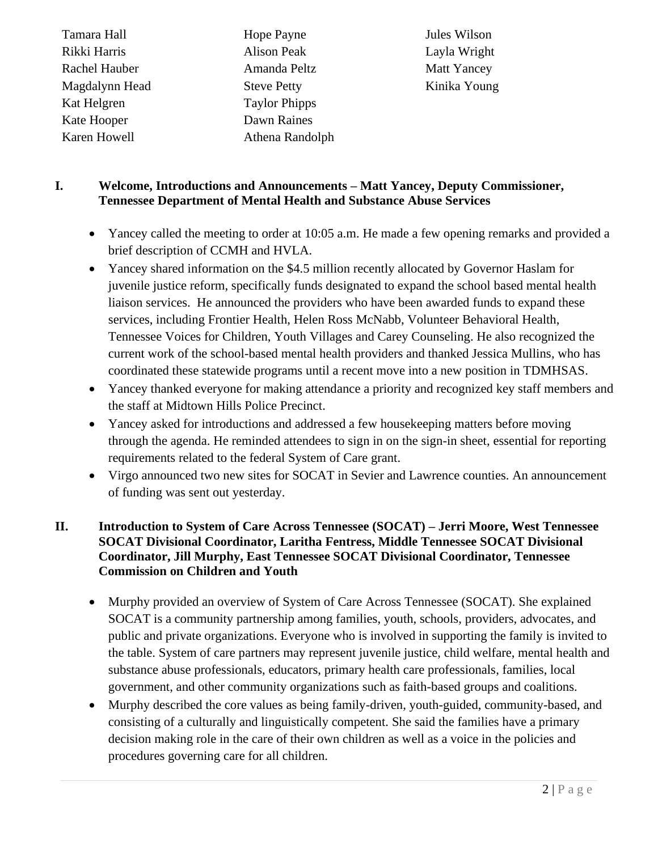| Tamara Hall    | Hop  |
|----------------|------|
| Rikki Harris   | Alis |
| Rachel Hauber  | Ama  |
| Magdalynn Head | Stev |
| Kat Helgren    | Tay. |
| Kate Hooper    | Daw  |
| Karen Howell   | Athe |

e Payne on Peak anda Peltz e Petty lor Phipps vn Raines ena Randolph

Jules Wilson Layla Wright Matt Yancey Kinika Young

### **I. Welcome, Introductions and Announcements – Matt Yancey, Deputy Commissioner, Tennessee Department of Mental Health and Substance Abuse Services**

- Yancey called the meeting to order at 10:05 a.m. He made a few opening remarks and provided a brief description of CCMH and HVLA.
- Yancey shared information on the \$4.5 million recently allocated by Governor Haslam for juvenile justice reform, specifically funds designated to expand the school based mental health liaison services. He announced the providers who have been awarded funds to expand these services, including Frontier Health, Helen Ross McNabb, Volunteer Behavioral Health, Tennessee Voices for Children, Youth Villages and Carey Counseling. He also recognized the current work of the school-based mental health providers and thanked Jessica Mullins, who has coordinated these statewide programs until a recent move into a new position in TDMHSAS.
- Yancey thanked everyone for making attendance a priority and recognized key staff members and the staff at Midtown Hills Police Precinct.
- Yancey asked for introductions and addressed a few housekeeping matters before moving through the agenda. He reminded attendees to sign in on the sign-in sheet, essential for reporting requirements related to the federal System of Care grant.
- Virgo announced two new sites for SOCAT in Sevier and Lawrence counties. An announcement of funding was sent out yesterday.

#### **II. Introduction to System of Care Across Tennessee (SOCAT) – Jerri Moore, West Tennessee SOCAT Divisional Coordinator, Laritha Fentress, Middle Tennessee SOCAT Divisional Coordinator, Jill Murphy, East Tennessee SOCAT Divisional Coordinator, Tennessee Commission on Children and Youth**

- Murphy provided an overview of System of Care Across Tennessee (SOCAT). She explained SOCAT is a community partnership among families, youth, schools, providers, advocates, and public and private organizations. Everyone who is involved in supporting the family is invited to the table. System of care partners may represent juvenile justice, child welfare, mental health and substance abuse professionals, educators, primary health care professionals, families, local government, and other community organizations such as faith-based groups and coalitions.
- Murphy described the core values as being family-driven, youth-guided, community-based, and consisting of a culturally and linguistically competent. She said the families have a primary decision making role in the care of their own children as well as a voice in the policies and procedures governing care for all children.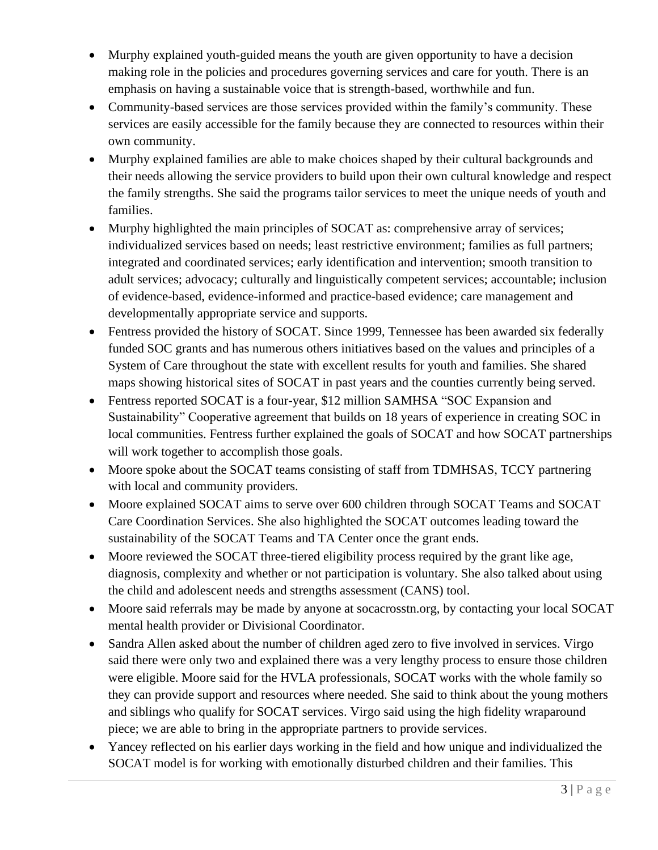- Murphy explained youth-guided means the youth are given opportunity to have a decision making role in the policies and procedures governing services and care for youth. There is an emphasis on having a sustainable voice that is strength-based, worthwhile and fun.
- Community-based services are those services provided within the family's community. These services are easily accessible for the family because they are connected to resources within their own community.
- Murphy explained families are able to make choices shaped by their cultural backgrounds and their needs allowing the service providers to build upon their own cultural knowledge and respect the family strengths. She said the programs tailor services to meet the unique needs of youth and families.
- Murphy highlighted the main principles of SOCAT as: comprehensive array of services; individualized services based on needs; least restrictive environment; families as full partners; integrated and coordinated services; early identification and intervention; smooth transition to adult services; advocacy; culturally and linguistically competent services; accountable; inclusion of evidence-based, evidence-informed and practice-based evidence; care management and developmentally appropriate service and supports.
- Fentress provided the history of SOCAT. Since 1999, Tennessee has been awarded six federally funded SOC grants and has numerous others initiatives based on the values and principles of a System of Care throughout the state with excellent results for youth and families. She shared maps showing historical sites of SOCAT in past years and the counties currently being served.
- Fentress reported SOCAT is a four-year, \$12 million SAMHSA "SOC Expansion and Sustainability" Cooperative agreement that builds on 18 years of experience in creating SOC in local communities. Fentress further explained the goals of SOCAT and how SOCAT partnerships will work together to accomplish those goals.
- Moore spoke about the SOCAT teams consisting of staff from TDMHSAS, TCCY partnering with local and community providers.
- Moore explained SOCAT aims to serve over 600 children through SOCAT Teams and SOCAT Care Coordination Services. She also highlighted the SOCAT outcomes leading toward the sustainability of the SOCAT Teams and TA Center once the grant ends.
- Moore reviewed the SOCAT three-tiered eligibility process required by the grant like age, diagnosis, complexity and whether or not participation is voluntary. She also talked about using the child and adolescent needs and strengths assessment (CANS) tool.
- Moore said referrals may be made by anyone at socacrosstn.org, by contacting your local SOCAT mental health provider or Divisional Coordinator.
- Sandra Allen asked about the number of children aged zero to five involved in services. Virgo said there were only two and explained there was a very lengthy process to ensure those children were eligible. Moore said for the HVLA professionals, SOCAT works with the whole family so they can provide support and resources where needed. She said to think about the young mothers and siblings who qualify for SOCAT services. Virgo said using the high fidelity wraparound piece; we are able to bring in the appropriate partners to provide services.
- Yancey reflected on his earlier days working in the field and how unique and individualized the SOCAT model is for working with emotionally disturbed children and their families. This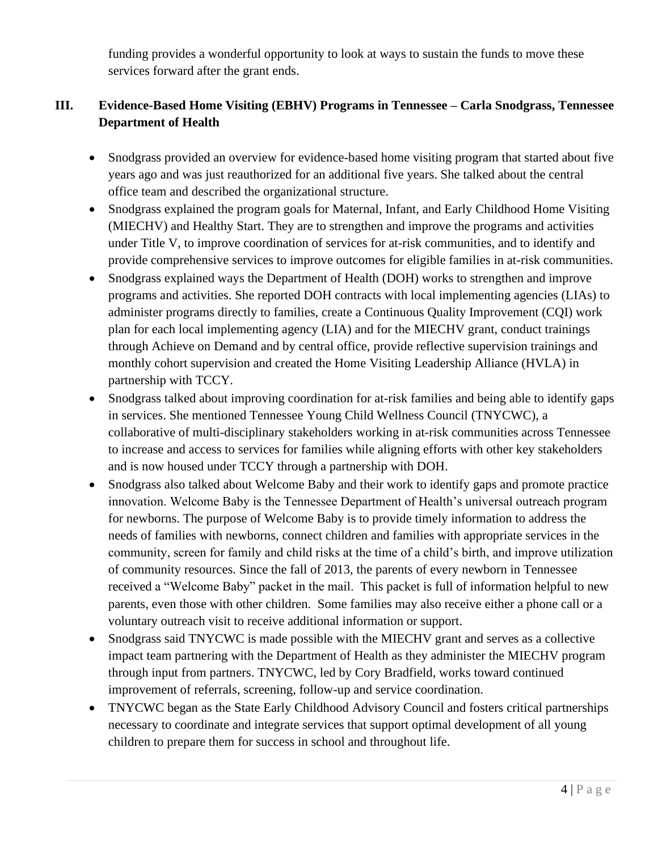funding provides a wonderful opportunity to look at ways to sustain the funds to move these services forward after the grant ends.

# **III. Evidence-Based Home Visiting (EBHV) Programs in Tennessee – Carla Snodgrass, Tennessee Department of Health**

- Snodgrass provided an overview for evidence-based home visiting program that started about five years ago and was just reauthorized for an additional five years. She talked about the central office team and described the organizational structure.
- Snodgrass explained the program goals for Maternal, Infant, and Early Childhood Home Visiting (MIECHV) and Healthy Start. They are to strengthen and improve the programs and activities under Title V, to improve coordination of services for at-risk communities, and to identify and provide comprehensive services to improve outcomes for eligible families in at-risk communities.
- Snodgrass explained ways the Department of Health (DOH) works to strengthen and improve programs and activities. She reported DOH contracts with local implementing agencies (LIAs) to administer programs directly to families, create a Continuous Quality Improvement (CQI) work plan for each local implementing agency (LIA) and for the MIECHV grant, conduct trainings through Achieve on Demand and by central office, provide reflective supervision trainings and monthly cohort supervision and created the Home Visiting Leadership Alliance (HVLA) in partnership with TCCY.
- Snodgrass talked about improving coordination for at-risk families and being able to identify gaps in services. She mentioned Tennessee Young Child Wellness Council (TNYCWC), a collaborative of multi-disciplinary stakeholders working in at-risk communities across Tennessee to increase and access to services for families while aligning efforts with other key stakeholders and is now housed under TCCY through a partnership with DOH.
- Snodgrass also talked about Welcome Baby and their work to identify gaps and promote practice innovation. Welcome Baby is the Tennessee Department of Health's universal outreach program for newborns. The purpose of Welcome Baby is to provide timely information to address the needs of families with newborns, connect children and families with appropriate services in the community, screen for family and child risks at the time of a child's birth, and improve utilization of community resources. Since the fall of 2013, the parents of every newborn in Tennessee received a "Welcome Baby" packet in the mail. This packet is full of information helpful to new parents, even those with other children. Some families may also receive either a phone call or a voluntary outreach visit to receive additional information or support.
- Snodgrass said TNYCWC is made possible with the MIECHV grant and serves as a collective impact team partnering with the Department of Health as they administer the MIECHV program through input from partners. TNYCWC, led by Cory Bradfield, works toward continued improvement of referrals, screening, follow-up and service coordination.
- TNYCWC began as the State Early Childhood Advisory Council and fosters critical partnerships necessary to coordinate and integrate services that support optimal development of all young children to prepare them for success in school and throughout life.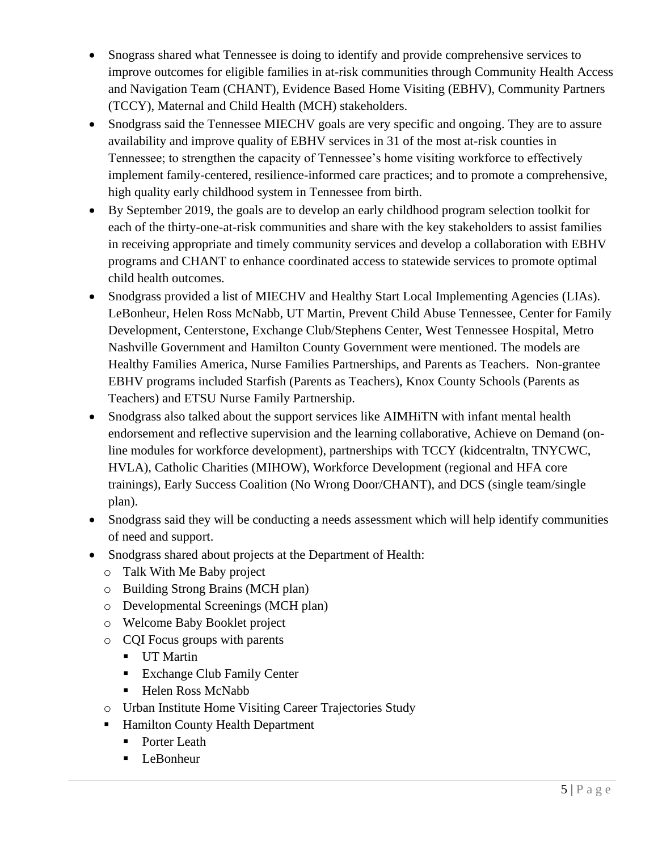- Snograss shared what Tennessee is doing to identify and provide comprehensive services to improve outcomes for eligible families in at-risk communities through Community Health Access and Navigation Team (CHANT), Evidence Based Home Visiting (EBHV), Community Partners (TCCY), Maternal and Child Health (MCH) stakeholders.
- Snodgrass said the Tennessee MIECHV goals are very specific and ongoing. They are to assure availability and improve quality of EBHV services in 31 of the most at-risk counties in Tennessee; to strengthen the capacity of Tennessee's home visiting workforce to effectively implement family-centered, resilience-informed care practices; and to promote a comprehensive, high quality early childhood system in Tennessee from birth.
- By September 2019, the goals are to develop an early childhood program selection toolkit for each of the thirty-one-at-risk communities and share with the key stakeholders to assist families in receiving appropriate and timely community services and develop a collaboration with EBHV programs and CHANT to enhance coordinated access to statewide services to promote optimal child health outcomes.
- Snodgrass provided a list of MIECHV and Healthy Start Local Implementing Agencies (LIAs). LeBonheur, Helen Ross McNabb, UT Martin, Prevent Child Abuse Tennessee, Center for Family Development, Centerstone, Exchange Club/Stephens Center, West Tennessee Hospital, Metro Nashville Government and Hamilton County Government were mentioned. The models are Healthy Families America, Nurse Families Partnerships, and Parents as Teachers. Non-grantee EBHV programs included Starfish (Parents as Teachers), Knox County Schools (Parents as Teachers) and ETSU Nurse Family Partnership.
- Snodgrass also talked about the support services like AIMHITN with infant mental health endorsement and reflective supervision and the learning collaborative, Achieve on Demand (online modules for workforce development), partnerships with TCCY (kidcentraltn, TNYCWC, HVLA), Catholic Charities (MIHOW), Workforce Development (regional and HFA core trainings), Early Success Coalition (No Wrong Door/CHANT), and DCS (single team/single plan).
- Snodgrass said they will be conducting a needs assessment which will help identify communities of need and support.
- Snodgrass shared about projects at the Department of Health:
	- o Talk With Me Baby project
	- o Building Strong Brains (MCH plan)
	- o Developmental Screenings (MCH plan)
	- o Welcome Baby Booklet project
	- o CQI Focus groups with parents
		- UT Martin
		- Exchange Club Family Center
		- Helen Ross McNabb
	- o Urban Institute Home Visiting Career Trajectories Study
	- Hamilton County Health Department
		- Porter Leath
		- LeBonheur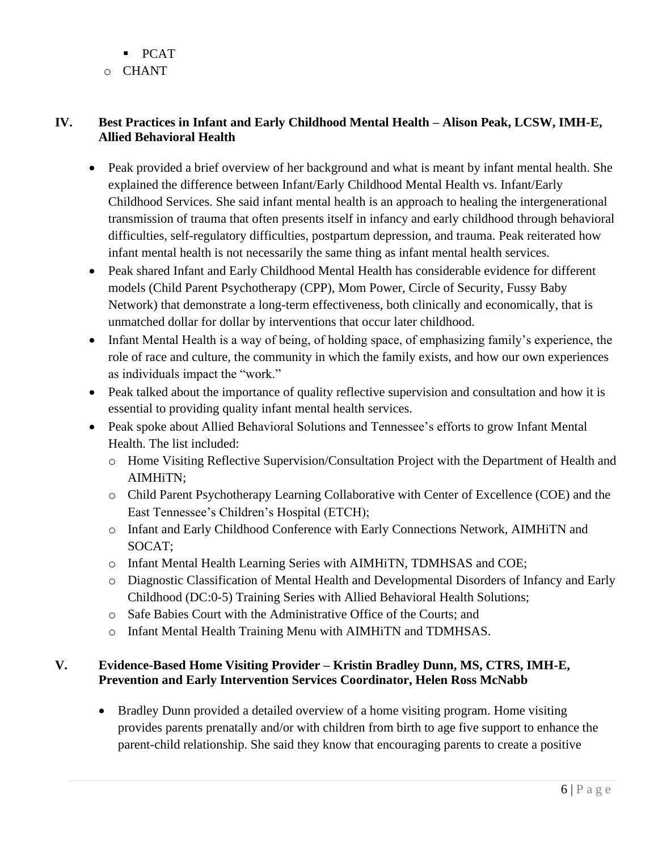- PCAT
- o CHANT

# **IV. Best Practices in Infant and Early Childhood Mental Health – Alison Peak, LCSW, IMH-E, Allied Behavioral Health**

- Peak provided a brief overview of her background and what is meant by infant mental health. She explained the difference between Infant/Early Childhood Mental Health vs. Infant/Early Childhood Services. She said infant mental health is an approach to healing the intergenerational transmission of trauma that often presents itself in infancy and early childhood through behavioral difficulties, self-regulatory difficulties, postpartum depression, and trauma. Peak reiterated how infant mental health is not necessarily the same thing as infant mental health services.
- Peak shared Infant and Early Childhood Mental Health has considerable evidence for different models (Child Parent Psychotherapy (CPP), Mom Power, Circle of Security, Fussy Baby Network) that demonstrate a long-term effectiveness, both clinically and economically, that is unmatched dollar for dollar by interventions that occur later childhood.
- Infant Mental Health is a way of being, of holding space, of emphasizing family's experience, the role of race and culture, the community in which the family exists, and how our own experiences as individuals impact the "work."
- Peak talked about the importance of quality reflective supervision and consultation and how it is essential to providing quality infant mental health services.
- Peak spoke about Allied Behavioral Solutions and Tennessee's efforts to grow Infant Mental Health. The list included:
	- o Home Visiting Reflective Supervision/Consultation Project with the Department of Health and AIMHiTN;
	- o Child Parent Psychotherapy Learning Collaborative with Center of Excellence (COE) and the East Tennessee's Children's Hospital (ETCH);
	- o Infant and Early Childhood Conference with Early Connections Network, AIMHiTN and SOCAT;
	- o Infant Mental Health Learning Series with AIMHiTN, TDMHSAS and COE;
	- o Diagnostic Classification of Mental Health and Developmental Disorders of Infancy and Early Childhood (DC:0-5) Training Series with Allied Behavioral Health Solutions;
	- o Safe Babies Court with the Administrative Office of the Courts; and
	- o Infant Mental Health Training Menu with AIMHiTN and TDMHSAS.

### **V. Evidence-Based Home Visiting Provider – Kristin Bradley Dunn, MS, CTRS, IMH-E, Prevention and Early Intervention Services Coordinator, Helen Ross McNabb**

• Bradley Dunn provided a detailed overview of a home visiting program. Home visiting provides parents prenatally and/or with children from birth to age five support to enhance the parent-child relationship. She said they know that encouraging parents to create a positive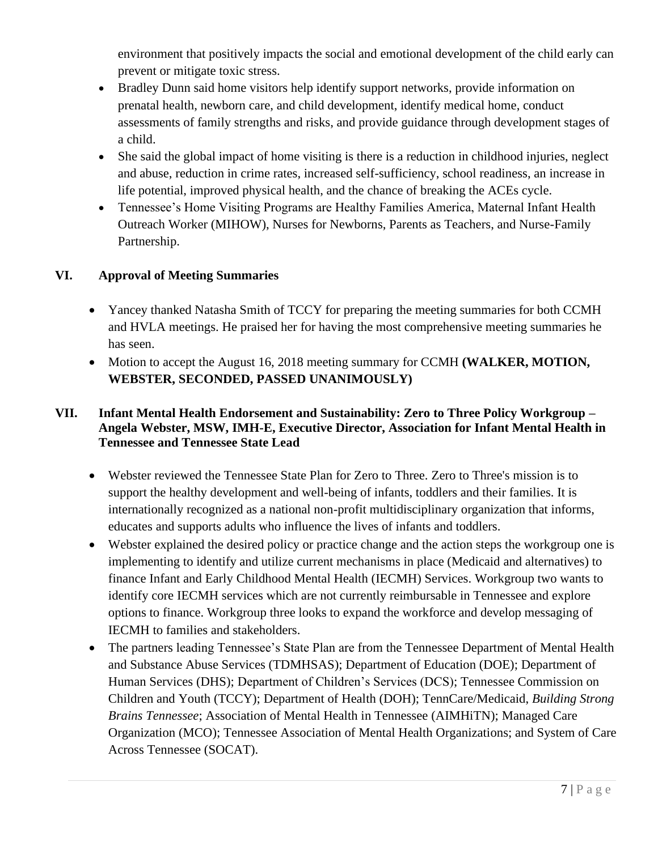environment that positively impacts the social and emotional development of the child early can prevent or mitigate toxic stress.

- Bradley Dunn said home visitors help identify support networks, provide information on prenatal health, newborn care, and child development, identify medical home, conduct assessments of family strengths and risks, and provide guidance through development stages of a child.
- She said the global impact of home visiting is there is a reduction in childhood injuries, neglect and abuse, reduction in crime rates, increased self-sufficiency, school readiness, an increase in life potential, improved physical health, and the chance of breaking the ACEs cycle.
- Tennessee's Home Visiting Programs are Healthy Families America, Maternal Infant Health Outreach Worker (MIHOW), Nurses for Newborns, Parents as Teachers, and Nurse-Family Partnership.

### **VI. Approval of Meeting Summaries**

- Yancey thanked Natasha Smith of TCCY for preparing the meeting summaries for both CCMH and HVLA meetings. He praised her for having the most comprehensive meeting summaries he has seen.
- Motion to accept the August 16, 2018 meeting summary for CCMH **(WALKER, MOTION, WEBSTER, SECONDED, PASSED UNANIMOUSLY)**

#### **VII. Infant Mental Health Endorsement and Sustainability: Zero to Three Policy Workgroup – Angela Webster, MSW, IMH-E, Executive Director, Association for Infant Mental Health in Tennessee and Tennessee State Lead**

- Webster reviewed the Tennessee State Plan for Zero to Three. Zero to Three's mission is to support the healthy development and well-being of infants, toddlers and their families. It is internationally recognized as a national non-profit multidisciplinary organization that informs, educates and supports adults who influence the lives of infants and toddlers.
- Webster explained the desired policy or practice change and the action steps the workgroup one is implementing to identify and utilize current mechanisms in place (Medicaid and alternatives) to finance Infant and Early Childhood Mental Health (IECMH) Services. Workgroup two wants to identify core IECMH services which are not currently reimbursable in Tennessee and explore options to finance. Workgroup three looks to expand the workforce and develop messaging of IECMH to families and stakeholders.
- The partners leading Tennessee's State Plan are from the Tennessee Department of Mental Health and Substance Abuse Services (TDMHSAS); Department of Education (DOE); Department of Human Services (DHS); Department of Children's Services (DCS); Tennessee Commission on Children and Youth (TCCY); Department of Health (DOH); TennCare/Medicaid, *Building Strong Brains Tennessee*; Association of Mental Health in Tennessee (AIMHiTN); Managed Care Organization (MCO); Tennessee Association of Mental Health Organizations; and System of Care Across Tennessee (SOCAT).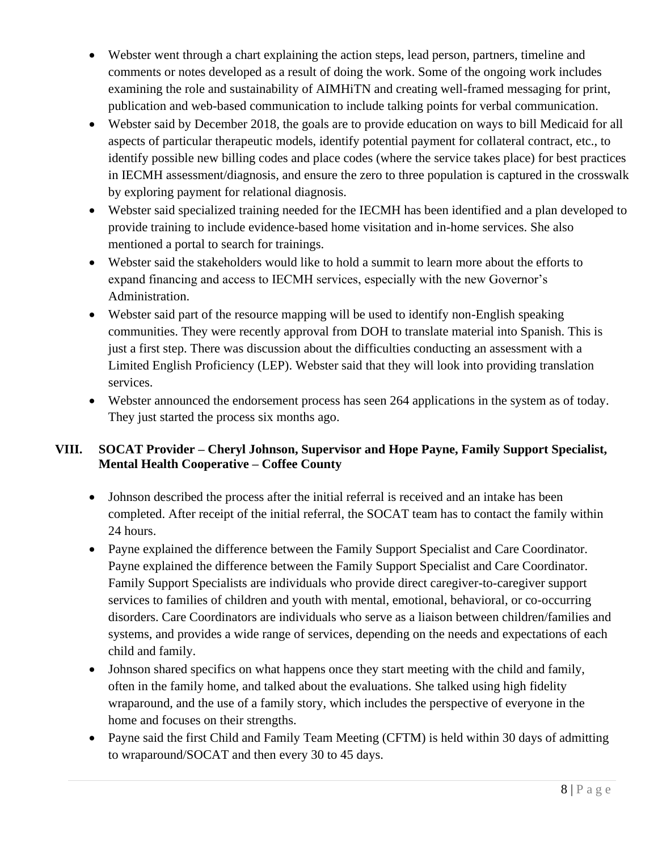- Webster went through a chart explaining the action steps, lead person, partners, timeline and comments or notes developed as a result of doing the work. Some of the ongoing work includes examining the role and sustainability of AIMHiTN and creating well-framed messaging for print, publication and web-based communication to include talking points for verbal communication.
- Webster said by December 2018, the goals are to provide education on ways to bill Medicaid for all aspects of particular therapeutic models, identify potential payment for collateral contract, etc., to identify possible new billing codes and place codes (where the service takes place) for best practices in IECMH assessment/diagnosis, and ensure the zero to three population is captured in the crosswalk by exploring payment for relational diagnosis.
- Webster said specialized training needed for the IECMH has been identified and a plan developed to provide training to include evidence-based home visitation and in-home services. She also mentioned a portal to search for trainings.
- Webster said the stakeholders would like to hold a summit to learn more about the efforts to expand financing and access to IECMH services, especially with the new Governor's Administration.
- Webster said part of the resource mapping will be used to identify non-English speaking communities. They were recently approval from DOH to translate material into Spanish. This is just a first step. There was discussion about the difficulties conducting an assessment with a Limited English Proficiency (LEP). Webster said that they will look into providing translation services.
- Webster announced the endorsement process has seen 264 applications in the system as of today. They just started the process six months ago.

# **VIII. SOCAT Provider – Cheryl Johnson, Supervisor and Hope Payne, Family Support Specialist, Mental Health Cooperative – Coffee County**

- Johnson described the process after the initial referral is received and an intake has been completed. After receipt of the initial referral, the SOCAT team has to contact the family within 24 hours.
- Payne explained the difference between the Family Support Specialist and Care Coordinator. Payne explained the difference between the Family Support Specialist and Care Coordinator. Family Support Specialists are individuals who provide direct caregiver-to-caregiver support services to families of children and youth with mental, emotional, behavioral, or co-occurring disorders. Care Coordinators are individuals who serve as a liaison between children/families and systems, and provides a wide range of services, depending on the needs and expectations of each child and family.
- Johnson shared specifics on what happens once they start meeting with the child and family, often in the family home, and talked about the evaluations. She talked using high fidelity wraparound, and the use of a family story, which includes the perspective of everyone in the home and focuses on their strengths.
- Payne said the first Child and Family Team Meeting (CFTM) is held within 30 days of admitting to wraparound/SOCAT and then every 30 to 45 days.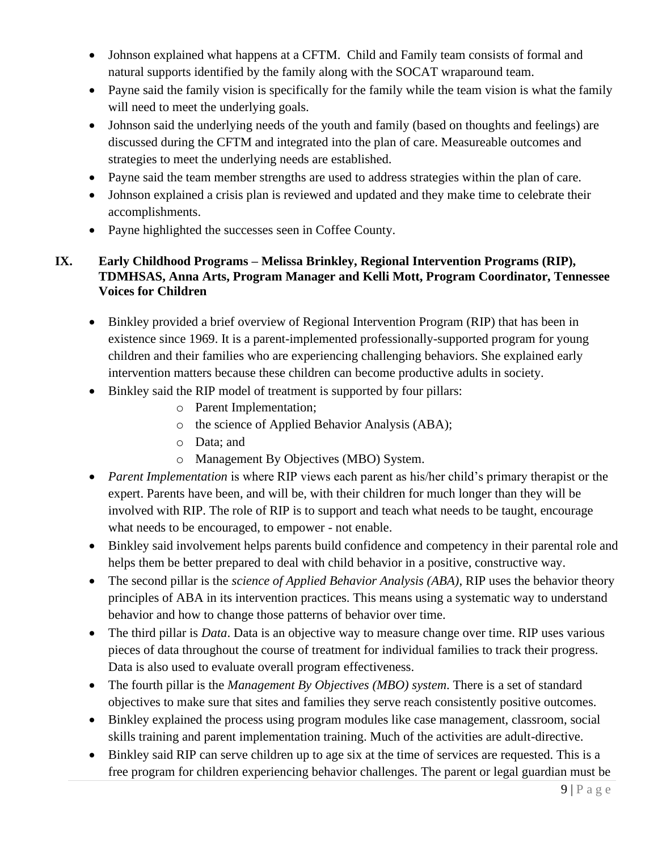- Johnson explained what happens at a CFTM. Child and Family team consists of formal and natural supports identified by the family along with the SOCAT wraparound team.
- Payne said the family vision is specifically for the family while the team vision is what the family will need to meet the underlying goals.
- Johnson said the underlying needs of the youth and family (based on thoughts and feelings) are discussed during the CFTM and integrated into the plan of care. Measureable outcomes and strategies to meet the underlying needs are established.
- Payne said the team member strengths are used to address strategies within the plan of care.
- Johnson explained a crisis plan is reviewed and updated and they make time to celebrate their accomplishments.
- Payne highlighted the successes seen in Coffee County.

### **IX. Early Childhood Programs – Melissa Brinkley, Regional Intervention Programs (RIP), TDMHSAS, Anna Arts, Program Manager and Kelli Mott, Program Coordinator, Tennessee Voices for Children**

- Binkley provided a brief overview of Regional Intervention Program (RIP) that has been in existence since 1969. It is a parent-implemented professionally-supported program for young children and their families who are experiencing challenging behaviors. She explained early intervention matters because these children can become productive adults in society.
- Binkley said the RIP model of treatment is supported by four pillars:
	- o Parent Implementation;
	- o the science of Applied Behavior Analysis (ABA);
	- o Data; and
	- o Management By Objectives (MBO) System.
- *Parent Implementation* is where RIP views each parent as his/her child's primary therapist or the expert. Parents have been, and will be, with their children for much longer than they will be involved with RIP. The role of RIP is to support and teach what needs to be taught, encourage what needs to be encouraged, to empower - not enable.
- Binkley said involvement helps parents build confidence and competency in their parental role and helps them be better prepared to deal with child behavior in a positive, constructive way.
- The second pillar is the *science of Applied Behavior Analysis (ABA)*, RIP uses the behavior theory principles of ABA in its intervention practices. This means using a systematic way to understand behavior and how to change those patterns of behavior over time.
- The third pillar is *Data*. Data is an objective way to measure change over time. RIP uses various pieces of data throughout the course of treatment for individual families to track their progress. Data is also used to evaluate overall program effectiveness.
- The fourth pillar is the *Management By Objectives (MBO) system*. There is a set of standard objectives to make sure that sites and families they serve reach consistently positive outcomes.
- Binkley explained the process using program modules like case management, classroom, social skills training and parent implementation training. Much of the activities are adult-directive.
- Binkley said RIP can serve children up to age six at the time of services are requested. This is a free program for children experiencing behavior challenges. The parent or legal guardian must be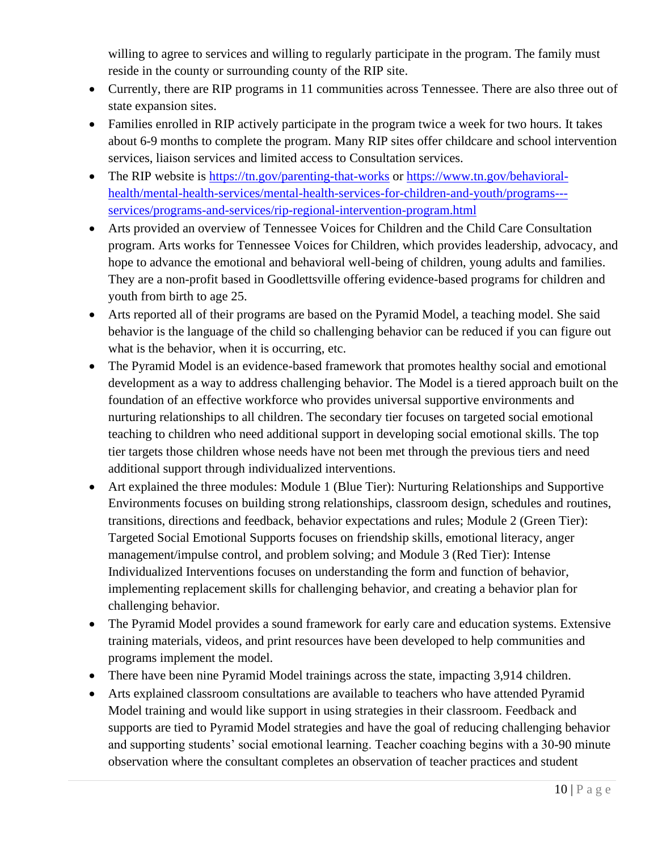willing to agree to services and willing to regularly participate in the program. The family must reside in the county or surrounding county of the RIP site.

- Currently, there are RIP programs in 11 communities across Tennessee. There are also three out of state expansion sites.
- Families enrolled in RIP actively participate in the program twice a week for two hours. It takes about 6-9 months to complete the program. Many RIP sites offer childcare and school intervention services, liaison services and limited access to Consultation services.
- The RIP website is<https://tn.gov/parenting-that-works> or [https://www.tn.gov/behavioral](https://www.tn.gov/behavioral-health/mental-health-services/mental-health-services-for-children-and-youth/programs---services/programs-and-services/rip-regional-intervention-program.html)[health/mental-health-services/mental-health-services-for-children-and-youth/programs--](https://www.tn.gov/behavioral-health/mental-health-services/mental-health-services-for-children-and-youth/programs---services/programs-and-services/rip-regional-intervention-program.html) [services/programs-and-services/rip-regional-intervention-program.html](https://www.tn.gov/behavioral-health/mental-health-services/mental-health-services-for-children-and-youth/programs---services/programs-and-services/rip-regional-intervention-program.html)
- Arts provided an overview of Tennessee Voices for Children and the Child Care Consultation program. Arts works for Tennessee Voices for Children, which provides leadership, advocacy, and hope to advance the emotional and behavioral well-being of children, young adults and families. They are a non-profit based in Goodlettsville offering evidence-based programs for children and youth from birth to age 25.
- Arts reported all of their programs are based on the Pyramid Model, a teaching model. She said behavior is the language of the child so challenging behavior can be reduced if you can figure out what is the behavior, when it is occurring, etc.
- The Pyramid Model is an evidence-based framework that promotes healthy social and emotional development as a way to address challenging behavior. The Model is a tiered approach built on the foundation of an effective workforce who provides universal supportive environments and nurturing relationships to all children. The secondary tier focuses on targeted social emotional teaching to children who need additional support in developing social emotional skills. The top tier targets those children whose needs have not been met through the previous tiers and need additional support through individualized interventions.
- Art explained the three modules: Module 1 (Blue Tier): Nurturing Relationships and Supportive Environments focuses on building strong relationships, classroom design, schedules and routines, transitions, directions and feedback, behavior expectations and rules; Module 2 (Green Tier): Targeted Social Emotional Supports focuses on friendship skills, emotional literacy, anger management/impulse control, and problem solving; and Module 3 (Red Tier): Intense Individualized Interventions focuses on understanding the form and function of behavior, implementing replacement skills for challenging behavior, and creating a behavior plan for challenging behavior.
- The Pyramid Model provides a sound framework for early care and education systems. Extensive training materials, videos, and print resources have been developed to help communities and programs implement the model.
- There have been nine Pyramid Model trainings across the state, impacting 3,914 children.
- Arts explained classroom consultations are available to teachers who have attended Pyramid Model training and would like support in using strategies in their classroom. Feedback and supports are tied to Pyramid Model strategies and have the goal of reducing challenging behavior and supporting students' social emotional learning. Teacher coaching begins with a 30-90 minute observation where the consultant completes an observation of teacher practices and student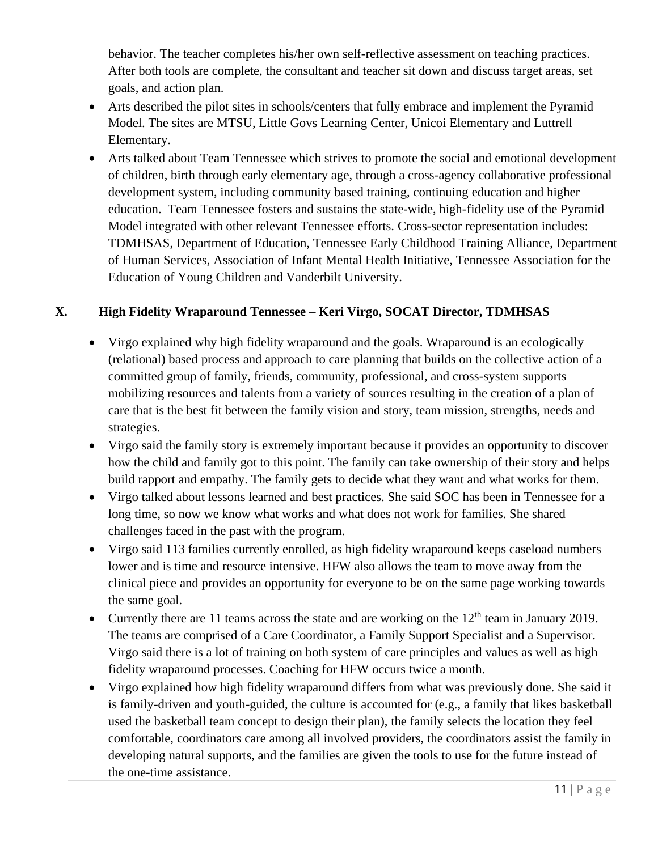behavior. The teacher completes his/her own self-reflective assessment on teaching practices. After both tools are complete, the consultant and teacher sit down and discuss target areas, set goals, and action plan.

- Arts described the pilot sites in schools/centers that fully embrace and implement the Pyramid Model. The sites are MTSU, Little Govs Learning Center, Unicoi Elementary and Luttrell Elementary.
- Arts talked about Team Tennessee which strives to promote the social and emotional development of children, birth through early elementary age, through a cross-agency collaborative professional development system, including community based training, continuing education and higher education. Team Tennessee fosters and sustains the state-wide, high-fidelity use of the Pyramid Model integrated with other relevant Tennessee efforts. Cross-sector representation includes: TDMHSAS, Department of Education, Tennessee Early Childhood Training Alliance, Department of Human Services, Association of Infant Mental Health Initiative, Tennessee Association for the Education of Young Children and Vanderbilt University.

#### **X. High Fidelity Wraparound Tennessee – Keri Virgo, SOCAT Director, TDMHSAS**

- Virgo explained why high fidelity wraparound and the goals. Wraparound is an ecologically (relational) based process and approach to care planning that builds on the collective action of a committed group of family, friends, community, professional, and cross-system supports mobilizing resources and talents from a variety of sources resulting in the creation of a plan of care that is the best fit between the family vision and story, team mission, strengths, needs and strategies.
- Virgo said the family story is extremely important because it provides an opportunity to discover how the child and family got to this point. The family can take ownership of their story and helps build rapport and empathy. The family gets to decide what they want and what works for them.
- Virgo talked about lessons learned and best practices. She said SOC has been in Tennessee for a long time, so now we know what works and what does not work for families. She shared challenges faced in the past with the program.
- Virgo said 113 families currently enrolled, as high fidelity wraparound keeps caseload numbers lower and is time and resource intensive. HFW also allows the team to move away from the clinical piece and provides an opportunity for everyone to be on the same page working towards the same goal.
- Currently there are 11 teams across the state and are working on the  $12<sup>th</sup>$  team in January 2019. The teams are comprised of a Care Coordinator, a Family Support Specialist and a Supervisor. Virgo said there is a lot of training on both system of care principles and values as well as high fidelity wraparound processes. Coaching for HFW occurs twice a month.
- Virgo explained how high fidelity wraparound differs from what was previously done. She said it is family-driven and youth-guided, the culture is accounted for (e.g., a family that likes basketball used the basketball team concept to design their plan), the family selects the location they feel comfortable, coordinators care among all involved providers, the coordinators assist the family in developing natural supports, and the families are given the tools to use for the future instead of the one-time assistance.